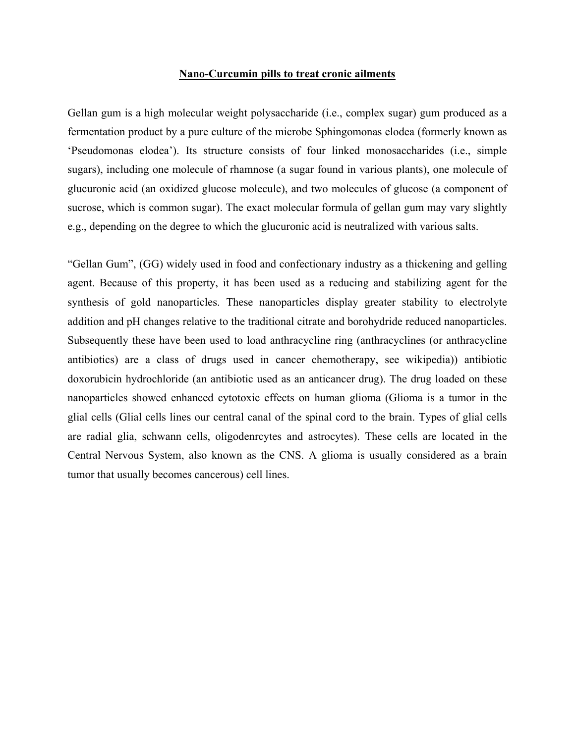## **Nano-Curcumin pills to treat cronic ailments**

Gellan gum is a high molecular weight polysaccharide (i.e., complex sugar) gum produced as a fermentation product by a pure culture of the microbe Sphingomonas elodea (formerly known as 'Pseudomonas elodea'). Its structure consists of four linked monosaccharides (i.e., simple sugars), including one molecule of rhamnose (a sugar found in various plants), one molecule of glucuronic acid (an oxidized glucose molecule), and two molecules of glucose (a component of sucrose, which is common sugar). The exact molecular formula of gellan gum may vary slightly e.g., depending on the degree to which the glucuronic acid is neutralized with various salts.

"Gellan Gum", (GG) widely used in food and confectionary industry as a thickening and gelling agent. Because of this property, it has been used as a reducing and stabilizing agent for the synthesis of gold nanoparticles. These nanoparticles display greater stability to electrolyte addition and pH changes relative to the traditional citrate and borohydride reduced nanoparticles. Subsequently these have been used to load anthracycline ring (anthracyclines (or anthracycline antibiotics) are a class of drugs used in cancer chemotherapy, see wikipedia)) antibiotic doxorubicin hydrochloride (an antibiotic used as an anticancer drug). The drug loaded on these nanoparticles showed enhanced cytotoxic effects on human glioma (Glioma is a tumor in the glial cells (Glial cells lines our central canal of the spinal cord to the brain. Types of glial cells are radial glia, schwann cells, oligodenrcytes and astrocytes). These cells are located in the Central Nervous System, also known as the CNS. A glioma is usually considered as a brain tumor that usually becomes cancerous) cell lines.